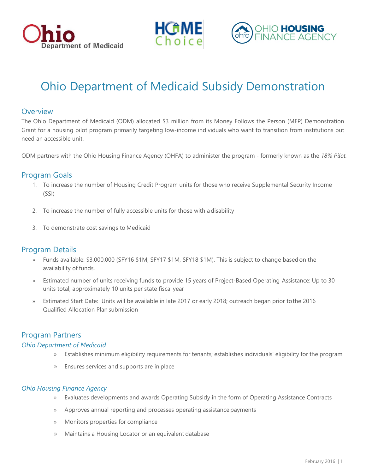





# Ohio Department of Medicaid Subsidy Demonstration

## **Overview**

The Ohio Department of Medicaid (ODM) allocated \$3 million from its Money Follows the Person (MFP) Demonstration Grant for a housing pilot program primarily targeting low-income individuals who want to transition from institutions but need an accessible unit.

ODM partners with the Ohio Housing Finance Agency (OHFA) to administer the program - formerly known as the *18% Pilot.*

## Program Goals

- 1. To increase the number of Housing Credit Program units for those who receive Supplemental Security Income (SSI)
- 2. To increase the number of fully accessible units for those with adisability
- 3. To demonstrate cost savings to Medicaid

## Program Details

- » Funds available: \$3,000,000 (SFY16 \$1M, SFY17 \$1M, SFY18 \$1M). This is subject to change basedon the availability of funds.
- » Estimated number of units receiving funds to provide 15 years of Project-Based Operating Assistance: Up to 30 units total; approximately 10 units per state fiscal year
- » Estimated Start Date: Units will be available in late 2017 or early 2018; outreach began prior tothe 2016 Qualified Allocation Plan submission

## Program Partners

#### *Ohio Department of Medicaid*

- » Establishes minimum eligibility requirements for tenants; establishes individuals' eligibility for the program
- » Ensures services and supports are in place

#### *Ohio Housing Finance Agency*

- » Evaluates developments and awards Operating Subsidy in the form of Operating Assistance Contracts
- » Approves annual reporting and processes operating assistance payments
- » Monitors properties for compliance
- » Maintains a Housing Locator or an equivalent database